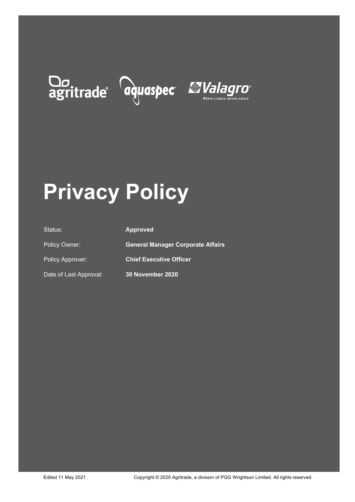# Do agritrade aquaspec Malagro



# **Privacy Policy**

| Status:                | <b>Approved</b>                          |
|------------------------|------------------------------------------|
| Policy Owner:          | <b>General Manager Corporate Affairs</b> |
| Policy Approver:       | <b>Chief Executive Officer</b>           |
| Date of Last Approval: | 30 November 2020                         |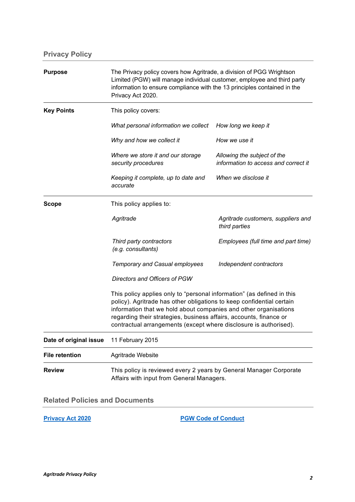| <b>Purpose</b>         | The Privacy policy covers how Agritrade, a division of PGG Wrightson<br>Limited (PGW) will manage individual customer, employee and third party<br>information to ensure compliance with the 13 principles contained in the<br>Privacy Act 2020.                                                                                                               |                                                                     |
|------------------------|----------------------------------------------------------------------------------------------------------------------------------------------------------------------------------------------------------------------------------------------------------------------------------------------------------------------------------------------------------------|---------------------------------------------------------------------|
| <b>Key Points</b>      | This policy covers:                                                                                                                                                                                                                                                                                                                                            |                                                                     |
|                        | What personal information we collect                                                                                                                                                                                                                                                                                                                           | How long we keep it                                                 |
|                        | Why and how we collect it                                                                                                                                                                                                                                                                                                                                      | How we use it                                                       |
|                        | Where we store it and our storage<br>security procedures                                                                                                                                                                                                                                                                                                       | Allowing the subject of the<br>information to access and correct it |
|                        | Keeping it complete, up to date and<br>accurate                                                                                                                                                                                                                                                                                                                | When we disclose it                                                 |
| Scope                  | This policy applies to:                                                                                                                                                                                                                                                                                                                                        |                                                                     |
|                        | Agritrade                                                                                                                                                                                                                                                                                                                                                      | Agritrade customers, suppliers and<br>third parties                 |
|                        | Third party contractors<br>(e.g. consultants)                                                                                                                                                                                                                                                                                                                  | Employees (full time and part time)                                 |
|                        | <b>Temporary and Casual employees</b>                                                                                                                                                                                                                                                                                                                          | Independent contractors                                             |
|                        | Directors and Officers of PGW                                                                                                                                                                                                                                                                                                                                  |                                                                     |
|                        | This policy applies only to "personal information" (as defined in this<br>policy). Agritrade has other obligations to keep confidential certain<br>information that we hold about companies and other organisations<br>regarding their strategies, business affairs, accounts, finance or<br>contractual arrangements (except where disclosure is authorised). |                                                                     |
| Date of original issue | 11 February 2015                                                                                                                                                                                                                                                                                                                                               |                                                                     |
| <b>File retention</b>  | Agritrade Website                                                                                                                                                                                                                                                                                                                                              |                                                                     |
| <b>Review</b>          | This policy is reviewed every 2 years by General Manager Corporate<br>Affairs with input from General Managers.                                                                                                                                                                                                                                                |                                                                     |

**Related Policies and Documents**

**[Privacy Act 2020](http://legislation.govt.nz/) [PGW Code of Conduct](https://www.pggwrightson.co.nz/Our-Company/Governance)**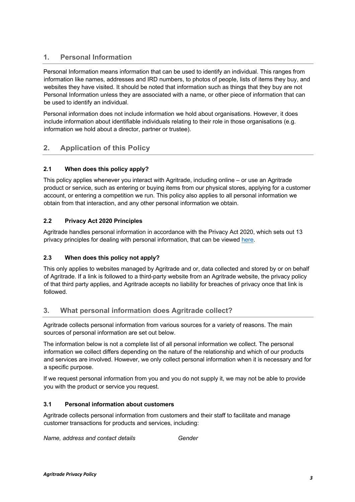# **1. Personal Information**

Personal Information means information that can be used to identify an individual. This ranges from information like names, addresses and IRD numbers, to photos of people, lists of items they buy, and websites they have visited. It should be noted that information such as things that they buy are not Personal Information unless they are associated with a name, or other piece of information that can be used to identify an individual.

Personal information does not include information we hold about organisations. However, it does include information about identifiable individuals relating to their role in those organisations (e.g. information we hold about a director, partner or trustee).

# **2. Application of this Policy**

# **2.1 When does this policy apply?**

This policy applies whenever you interact with Agritrade, including online – or use an Agritrade product or service, such as entering or buying items from our physical stores, applying for a customer account, or entering a competition we run. This policy also applies to all personal information we obtain from that interaction, and any other personal information we obtain.

# **2.2 Privacy Act 2020 Principles**

Agritrade handles personal information in accordance with the Privacy Act 2020, which sets out 13 privacy principles for dealing with personal information, that can be viewed [here.](http://www.legislation.govt.nz/act/public/2020/0031/latest/LMS23342.html)

# **2.3 When does this policy not apply?**

This only applies to websites managed by Agritrade and or, data collected and stored by or on behalf of Agritrade. If a link is followed to a third-party website from an Agritrade website, the privacy policy of that third party applies, and Agritrade accepts no liability for breaches of privacy once that link is followed.

# **3. What personal information does Agritrade collect?**

Agritrade collects personal information from various sources for a variety of reasons. The main sources of personal information are set out below.

The information below is not a complete list of all personal information we collect. The personal information we collect differs depending on the nature of the relationship and which of our products and services are involved. However, we only collect personal information when it is necessary and for a specific purpose.

If we request personal information from you and you do not supply it, we may not be able to provide you with the product or service you request.

# **3.1 Personal information about customers**

Agritrade collects personal information from customers and their staff to facilitate and manage customer transactions for products and services, including:

*Name, address and contact details Gender*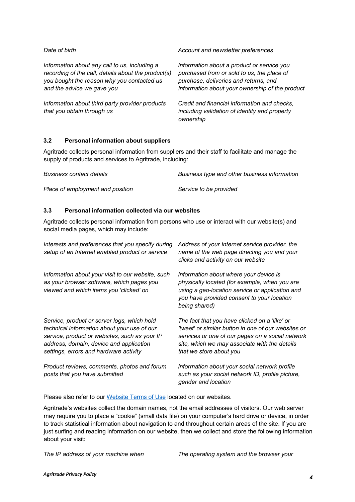| Date of birth                                                                                                                                                                    | Account and newsletter preferences                                                                                                                                                   |
|----------------------------------------------------------------------------------------------------------------------------------------------------------------------------------|--------------------------------------------------------------------------------------------------------------------------------------------------------------------------------------|
| Information about any call to us, including a<br>recording of the call, details about the product(s)<br>you bought the reason why you contacted us<br>and the advice we gave you | Information about a product or service you<br>purchased from or sold to us, the place of<br>purchase, deliveries and returns, and<br>information about your ownership of the product |
| Information about third party provider products<br>that you obtain through us                                                                                                    | Credit and financial information and checks,<br>including validation of identity and property<br>ownership                                                                           |

# **3.2 Personal information about suppliers**

Agritrade collects personal information from suppliers and their staff to facilitate and manage the supply of products and services to Agritrade, including:

| <b>Business contact details</b>  | Business type and other business information |
|----------------------------------|----------------------------------------------|
| Place of employment and position | Service to be provided                       |

# **3.3 Personal information collected via our websites**

Agritrade collects personal information from persons who use or interact with our website(s) and social media pages, which may include:

| Interests and preferences that you specify during<br>setup of an Internet enabled product or service                                                                                                                             | Address of your Internet service provider, the<br>name of the web page directing you and your<br>clicks and activity on our website                                                                                                  |
|----------------------------------------------------------------------------------------------------------------------------------------------------------------------------------------------------------------------------------|--------------------------------------------------------------------------------------------------------------------------------------------------------------------------------------------------------------------------------------|
| Information about your visit to our website, such<br>as your browser software, which pages you<br>viewed and which items you 'clicked' on                                                                                        | Information about where your device is<br>physically located (for example, when you are<br>using a geo-location service or application and<br>you have provided consent to your location<br>being shared)                            |
| Service, product or server logs, which hold<br>technical information about your use of our<br>service, product or websites, such as your IP<br>address, domain, device and application<br>settings, errors and hardware activity | The fact that you have clicked on a 'like' or<br>'tweet' or similar button in one of our websites or<br>services or one of our pages on a social network<br>site, which we may associate with the details<br>that we store about you |
| Product reviews, comments, photos and forum<br>posts that you have submitted                                                                                                                                                     | Information about your social network profile<br>such as your social network ID, profile picture,<br>gender and location                                                                                                             |

Please also refer to our [Website Terms of Use](https://www.nzagritrade.co.nz/Website-Terms-of-Use) located on our websites.

Agritrade's websites collect the domain names, not the email addresses of visitors. Our web server may require you to place a "cookie" (small data file) on your computer's hard drive or device, in order to track statistical information about navigation to and throughout certain areas of the site. If you are just surfing and reading information on our website, then we collect and store the following information about your visit:

*The IP address of your machine when The operating system and the browser your*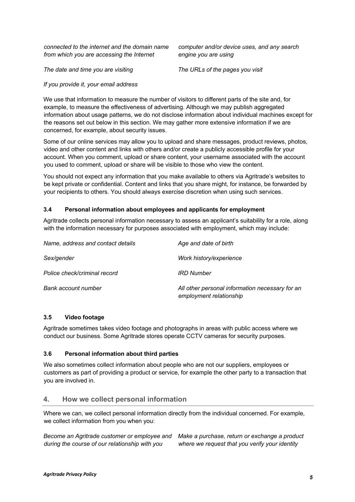*connected to the internet and the domain name from which you are accessing the Internet*

*computer and/or device uses, and any search engine you are using*

*The date and time you are visiting The URLs of the pages you visit*

#### *If you provide it, your email address*

We use that information to measure the number of visitors to different parts of the site and, for example, to measure the effectiveness of advertising. Although we may publish aggregated information about usage patterns, we do not disclose information about individual machines except for the reasons set out below in this section. We may gather more extensive information if we are concerned, for example, about security issues.

Some of our online services may allow you to upload and share messages, product reviews, photos, video and other content and links with others and/or create a publicly accessible profile for your account. When you comment, upload or share content, your username associated with the account you used to comment, upload or share will be visible to those who view the content.

You should not expect any information that you make available to others via Agritrade's websites to be kept private or confidential. Content and links that you share might, for instance, be forwarded by your recipients to others. You should always exercise discretion when using such services.

#### **3.4 Personal information about employees and applicants for employment**

Agritrade collects personal information necessary to assess an applicant's suitability for a role, along with the information necessary for purposes associated with employment, which may include:

| Name, address and contact details | Age and date of birth                                                      |
|-----------------------------------|----------------------------------------------------------------------------|
| Sex/gender                        | Work history/experience                                                    |
| Police check/criminal record      | <b>IRD Number</b>                                                          |
| Bank account number               | All other personal information necessary for an<br>employment relationship |

#### **3.5 Video footage**

Agritrade sometimes takes video footage and photographs in areas with public access where we conduct our business. Some Agritrade stores operate CCTV cameras for security purposes.

#### **3.6 Personal information about third parties**

We also sometimes collect information about people who are not our suppliers, employees or customers as part of providing a product or service, for example the other party to a transaction that you are involved in.

# **4. How we collect personal information**

Where we can, we collect personal information directly from the individual concerned. For example, we collect information from you when you:

*Become an Agritrade customer or employee and Make a purchase, return or exchange a product during the course of our relationship with you where we request that you verify your identity*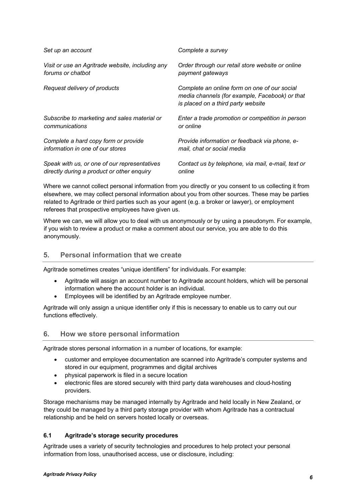| Set up an account                                | Complete a survey                                                                                                                    |
|--------------------------------------------------|--------------------------------------------------------------------------------------------------------------------------------------|
| Visit or use an Agritrade website, including any | Order through our retail store website or online                                                                                     |
| forums or chatbot                                | payment gateways                                                                                                                     |
| Request delivery of products                     | Complete an online form on one of our social<br>media channels (for example, Facebook) or that<br>is placed on a third party website |
| Subscribe to marketing and sales material or     | Enter a trade promotion or competition in person                                                                                     |
| communications                                   | or online                                                                                                                            |
| Complete a hard copy form or provide             | Provide information or feedback via phone, e-                                                                                        |
| information in one of our stores                 | mail, chat or social media                                                                                                           |
| Speak with us, or one of our representatives     | Contact us by telephone, via mail, e-mail, text or                                                                                   |
| directly during a product or other enquiry       | online                                                                                                                               |

Where we cannot collect personal information from you directly or you consent to us collecting it from elsewhere, we may collect personal information about you from other sources. These may be parties related to Agritrade or third parties such as your agent (e.g. a broker or lawyer), or employment referees that prospective employees have given us.

Where we can, we will allow you to deal with us anonymously or by using a pseudonym. For example, if you wish to review a product or make a comment about our service, you are able to do this anonymously.

# **5. Personal information that we create**

Agritrade sometimes creates "unique identifiers" for individuals. For example:

- Agritrade will assign an account number to Agritrade account holders, which will be personal information where the account holder is an individual.
- Employees will be identified by an Agritrade employee number.

Agritrade will only assign a unique identifier only if this is necessary to enable us to carry out our functions effectively.

# **6. How we store personal information**

Agritrade stores personal information in a number of locations, for example:

- customer and employee documentation are scanned into Agritrade's computer systems and stored in our equipment, programmes and digital archives
- physical paperwork is filed in a secure location
- electronic files are stored securely with third party data warehouses and cloud-hosting providers.

Storage mechanisms may be managed internally by Agritrade and held locally in New Zealand, or they could be managed by a third party storage provider with whom Agritrade has a contractual relationship and be held on servers hosted locally or overseas.

# **6.1 Agritrade's storage security procedures**

Agritrade uses a variety of security technologies and procedures to help protect your personal information from loss, unauthorised access, use or disclosure, including: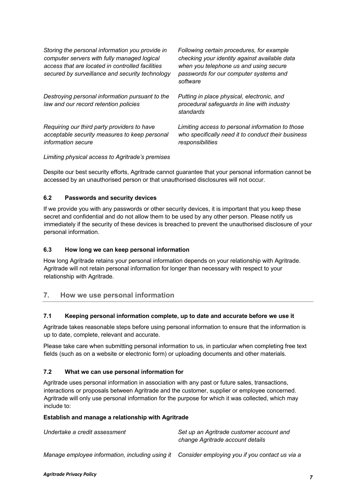| Storing the personal information you provide in<br>computer servers with fully managed logical<br>access that are located in controlled facilities<br>secured by surveillance and security technology | Following certain procedures, for example<br>checking your identity against available data<br>when you telephone us and using secure<br>passwords for our computer systems and<br>software |
|-------------------------------------------------------------------------------------------------------------------------------------------------------------------------------------------------------|--------------------------------------------------------------------------------------------------------------------------------------------------------------------------------------------|
| Destroying personal information pursuant to the<br>law and our record retention policies                                                                                                              | Putting in place physical, electronic, and<br>procedural safeguards in line with industry<br>standards                                                                                     |
| Requiring our third party providers to have<br>acceptable security measures to keep personal<br><i>information</i> secure                                                                             | Limiting access to personal information to those<br>who specifically need it to conduct their business<br>responsibilities                                                                 |

*Limiting physical access to Agritrade's premises* 

Despite our best security efforts, Agritrade cannot guarantee that your personal information cannot be accessed by an unauthorised person or that unauthorised disclosures will not occur.

#### **6.2 Passwords and security devices**

If we provide you with any passwords or other security devices, it is important that you keep these secret and confidential and do not allow them to be used by any other person. Please notify us immediately if the security of these devices is breached to prevent the unauthorised disclosure of your personal information.

#### **6.3 How long we can keep personal information**

How long Agritrade retains your personal information depends on your relationship with Agritrade. Agritrade will not retain personal information for longer than necessary with respect to your relationship with Agritrade.

# **7. How we use personal information**

#### **7.1 Keeping personal information complete, up to date and accurate before we use it**

Agritrade takes reasonable steps before using personal information to ensure that the information is up to date, complete, relevant and accurate.

Please take care when submitting personal information to us, in particular when completing free text fields (such as on a website or electronic form) or uploading documents and other materials.

#### **7.2 What we can use personal information for**

Agritrade uses personal information in association with any past or future sales, transactions, interactions or proposals between Agritrade and the customer, supplier or employee concerned. Agritrade will only use personal information for the purpose for which it was collected, which may include to:

#### **Establish and manage a relationship with Agritrade**

| Undertake a credit assessment                                                                  | Set up an Agritrade customer account and<br>change Agritrade account details |
|------------------------------------------------------------------------------------------------|------------------------------------------------------------------------------|
| Manage employee information, including using it Consider employing you if you contact us via a |                                                                              |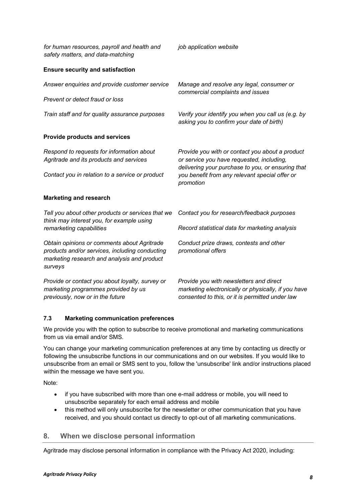| for human resources, payroll and health and<br>safety matters, and data-matching                                                                        | job application website                                                                                                                                                                                          |
|---------------------------------------------------------------------------------------------------------------------------------------------------------|------------------------------------------------------------------------------------------------------------------------------------------------------------------------------------------------------------------|
| <b>Ensure security and satisfaction</b>                                                                                                                 |                                                                                                                                                                                                                  |
| Answer enquiries and provide customer service                                                                                                           | Manage and resolve any legal, consumer or<br>commercial complaints and issues                                                                                                                                    |
| Prevent or detect fraud or loss                                                                                                                         |                                                                                                                                                                                                                  |
| Train staff and for quality assurance purposes                                                                                                          | Verify your identify you when you call us (e.g. by<br>asking you to confirm your date of birth)                                                                                                                  |
| <b>Provide products and services</b>                                                                                                                    |                                                                                                                                                                                                                  |
| Respond to requests for information about<br>Agritrade and its products and services<br>Contact you in relation to a service or product                 | Provide you with or contact you about a product<br>or service you have requested, including,<br>delivering your purchase to you, or ensuring that<br>you benefit from any relevant special offer or<br>promotion |
| <b>Marketing and research</b>                                                                                                                           |                                                                                                                                                                                                                  |
| Tell you about other products or services that we<br>think may interest you, for example using<br>remarketing capabilities                              | Contact you for research/feedback purposes                                                                                                                                                                       |
|                                                                                                                                                         | Record statistical data for marketing analysis                                                                                                                                                                   |
| Obtain opinions or comments about Agritrade<br>products and/or services, including conducting<br>marketing research and analysis and product<br>surveys | Conduct prize draws, contests and other<br>promotional offers                                                                                                                                                    |
| Provide or contact you about loyalty, survey or<br>marketing programmes provided by us<br>previously, now or in the future                              | Provide you with newsletters and direct<br>marketing electronically or physically, if you have<br>consented to this, or it is permitted under law                                                                |

# **7.3 Marketing communication preferences**

We provide you with the option to subscribe to receive promotional and marketing communications from us via email and/or SMS.

You can change your marketing communication preferences at any time by contacting us directly or following the unsubscribe functions in our communications and on our websites. If you would like to unsubscribe from an email or SMS sent to you, follow the 'unsubscribe' link and/or instructions placed within the message we have sent you.

Note:

- if you have subscribed with more than one e-mail address or mobile, you will need to unsubscribe separately for each email address and mobile
- this method will only unsubscribe for the newsletter or other communication that you have received, and you should contact us directly to opt-out of all marketing communications.

# **8. When we disclose personal information**

Agritrade may disclose personal information in compliance with the Privacy Act 2020, including: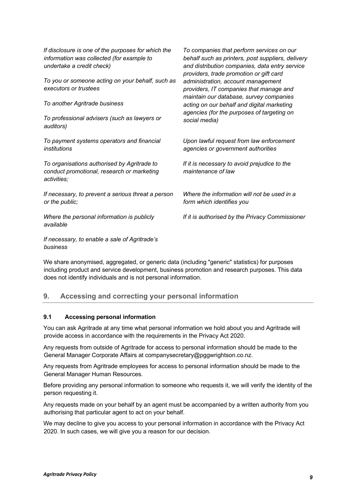| If disclosure is one of the purposes for which the<br>information was collected (for example to<br>undertake a credit check)<br>To you or someone acting on your behalf, such as<br>executors or trustees<br>To another Agritrade business<br>To professional advisers (such as lawyers or<br>auditors) | To companies that perform services on our<br>behalf such as printers, post suppliers, delivery<br>and distribution companies, data entry service<br>providers, trade promotion or gift card<br>administration, account management<br>providers, IT companies that manage and<br>maintain our database, survey companies<br>acting on our behalf and digital marketing<br>agencies (for the purposes of targeting on<br>social media) |
|---------------------------------------------------------------------------------------------------------------------------------------------------------------------------------------------------------------------------------------------------------------------------------------------------------|--------------------------------------------------------------------------------------------------------------------------------------------------------------------------------------------------------------------------------------------------------------------------------------------------------------------------------------------------------------------------------------------------------------------------------------|
| To payment systems operators and financial<br>institutions                                                                                                                                                                                                                                              | Upon lawful request from law enforcement<br>agencies or government authorities                                                                                                                                                                                                                                                                                                                                                       |
| To organisations authorised by Agritrade to<br>conduct promotional, research or marketing<br>activities;                                                                                                                                                                                                | If it is necessary to avoid prejudice to the<br>maintenance of law                                                                                                                                                                                                                                                                                                                                                                   |
| If necessary, to prevent a serious threat a person<br>or the public;                                                                                                                                                                                                                                    | Where the information will not be used in a<br>form which identifies you                                                                                                                                                                                                                                                                                                                                                             |
| Where the personal information is publicly<br>available                                                                                                                                                                                                                                                 | If it is authorised by the Privacy Commissioner                                                                                                                                                                                                                                                                                                                                                                                      |
| If $\alpha$ is a contract of the contract of the contract of $\mathbf{A}$ is the contract of the contract of the contract of the contract of the contract of the contract of the contract of the contract of the contract of the cont                                                                   |                                                                                                                                                                                                                                                                                                                                                                                                                                      |

*If necessary, to enable a sale of Agritrade's business*

We share anonymised, aggregated, or generic data (including "generic" statistics) for purposes including product and service development, business promotion and research purposes. This data does not identify individuals and is not personal information.

# **9. Accessing and correcting your personal information**

#### **9.1 Accessing personal information**

You can ask Agritrade at any time what personal information we hold about you and Agritrade will provide access in accordance with the requirements in the Privacy Act 2020.

Any requests from outside of Agritrade for access to personal information should be made to the General Manager Corporate Affairs at companysecretary@pggwrightson.co.nz.

Any requests from Agritrade employees for access to personal information should be made to the General Manager Human Resources.

Before providing any personal information to someone who requests it, we will verify the identity of the person requesting it.

Any requests made on your behalf by an agent must be accompanied by a written authority from you authorising that particular agent to act on your behalf.

We may decline to give you access to your personal information in accordance with the Privacy Act 2020. In such cases, we will give you a reason for our decision.